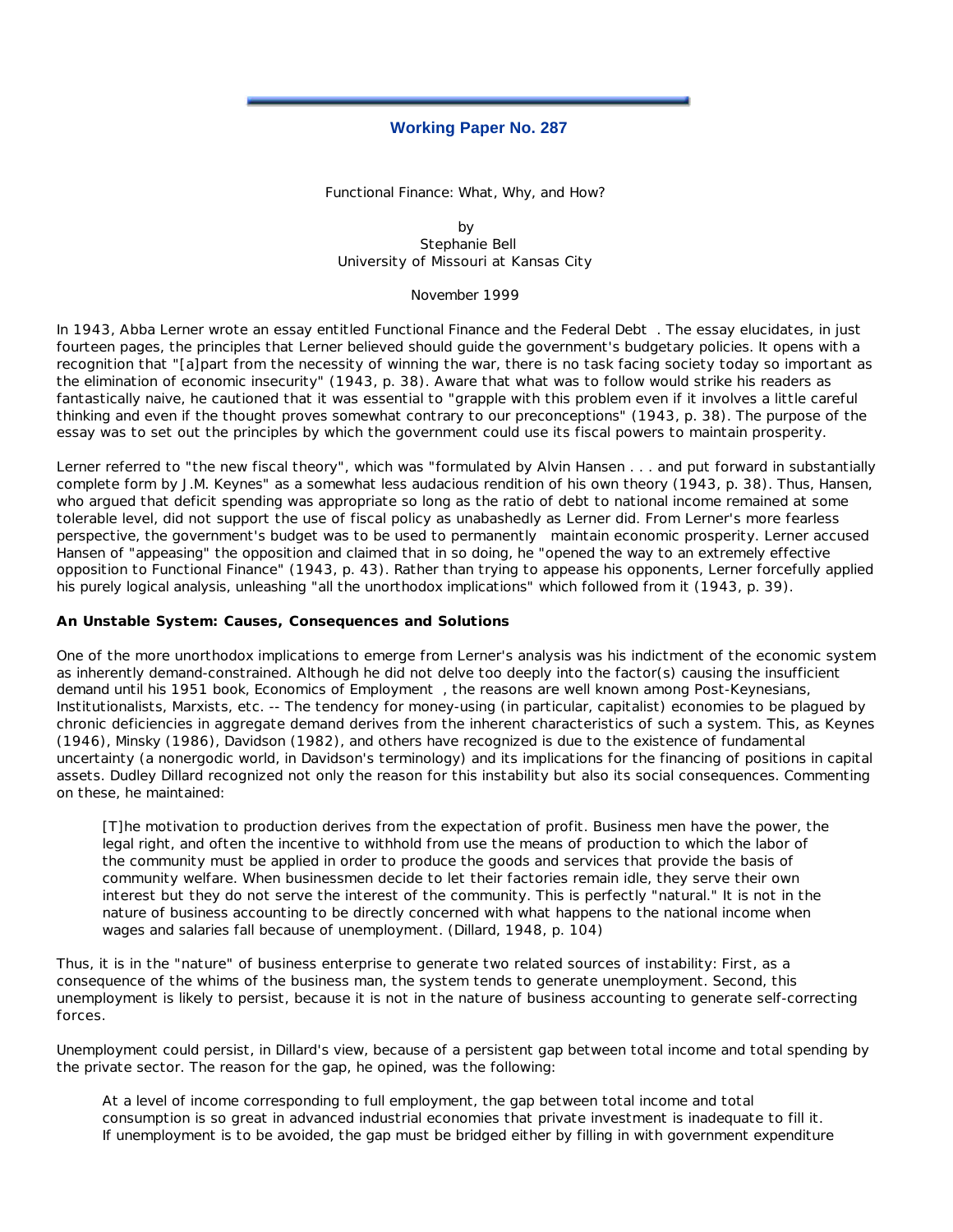# **Working Paper No. 287**

Functional Finance: What, Why, and How?

by Stephanie Bell University of Missouri at Kansas City

November 1999

In 1943, Abba Lerner wrote an essay entitled *Functional Finance and the Federal Debt* . The essay elucidates, in just fourteen pages, the principles that Lerner believed should guide the government's budgetary policies. It opens with a recognition that "[a]part from the necessity of winning the war, there is no task facing society today so important as the elimination of economic insecurity" (1943, p. 38). Aware that what was to follow would strike his readers as fantastically naive, he cautioned that it was essential to "grapple with this problem even if it involves a little careful thinking and even if the thought proves somewhat contrary to our preconceptions" (1943, p. 38). The purpose of the essay was to set out the principles by which the government could use its fiscal powers to maintain prosperity.

Lerner referred to "the new fiscal theory", which was "formulated by Alvin Hansen . . . and put forward in substantially complete form by J.M. Keynes" as a somewhat less audacious rendition of his own theory (1943, p. 38). Thus, Hansen, who argued that deficit spending was appropriate so long as the ratio of debt to national income remained at some tolerable level, did not support the use of fiscal policy as unabashedly as Lerner did. From Lerner's more fearless perspective, the government's budget was to be used to *permanently* maintain economic prosperity. Lerner accused Hansen of "appeasing" the opposition and claimed that in so doing, he "opened the way to an extremely effective opposition to Functional Finance" (1943, p. 43). Rather than trying to appease his opponents, Lerner forcefully applied his purely logical analysis, unleashing "all the unorthodox implications" which followed from it (1943, p. 39).

### **An Unstable System: Causes, Consequences and Solutions**

One of the more unorthodox implications to emerge from Lerner's analysis was his indictment of the economic system as inherently demand-constrained. Although he did not delve too deeply into the factor(s) causing the insufficient demand until his 1951 book, *Economics of Employment* , the reasons are well known among Post-Keynesians, Institutionalists, Marxists, etc. -- The tendency for money-using (in particular, capitalist) economies to be plagued by chronic deficiencies in aggregate demand derives from the inherent characteristics of such a system. This, as Keynes (1946), Minsky (1986), Davidson (1982), and others have recognized is due to the existence of fundamental uncertainty (a nonergodic world, in Davidson's terminology) and its implications for the financing of positions in capital assets. Dudley Dillard recognized not only the reason for this instability but also its social consequences. Commenting on these, he maintained:

[T]he motivation to production derives from the expectation of profit. Business men have the power, the legal right, and often the incentive to withhold from use the means of production to which the labor of the community must be applied in order to produce the goods and services that provide the basis of community welfare. When businessmen decide to let their factories remain idle, they serve their own interest but they do not serve the interest of the community. This is perfectly "natural." It is not in the nature of business accounting to be directly concerned with what happens to the national income when wages and salaries fall because of unemployment. (Dillard, 1948, p. 104)

Thus, it is in the "nature" of business enterprise to generate two related sources of instability: First, as a consequence of the whims of the business man, the system tends to generate unemployment. Second, this unemployment is likely to persist, because it is not in the nature of business accounting to generate self-correcting forces.

Unemployment could persist, in Dillard's view, because of a persistent gap between total income and total spending by the private sector. The reason for the gap, he opined, was the following:

At a level of income corresponding to full employment, the gap between total income and total consumption is so great in advanced industrial economies that private investment is inadequate to fill it. If unemployment is to be avoided, the gap must be bridged either by filling in with government expenditure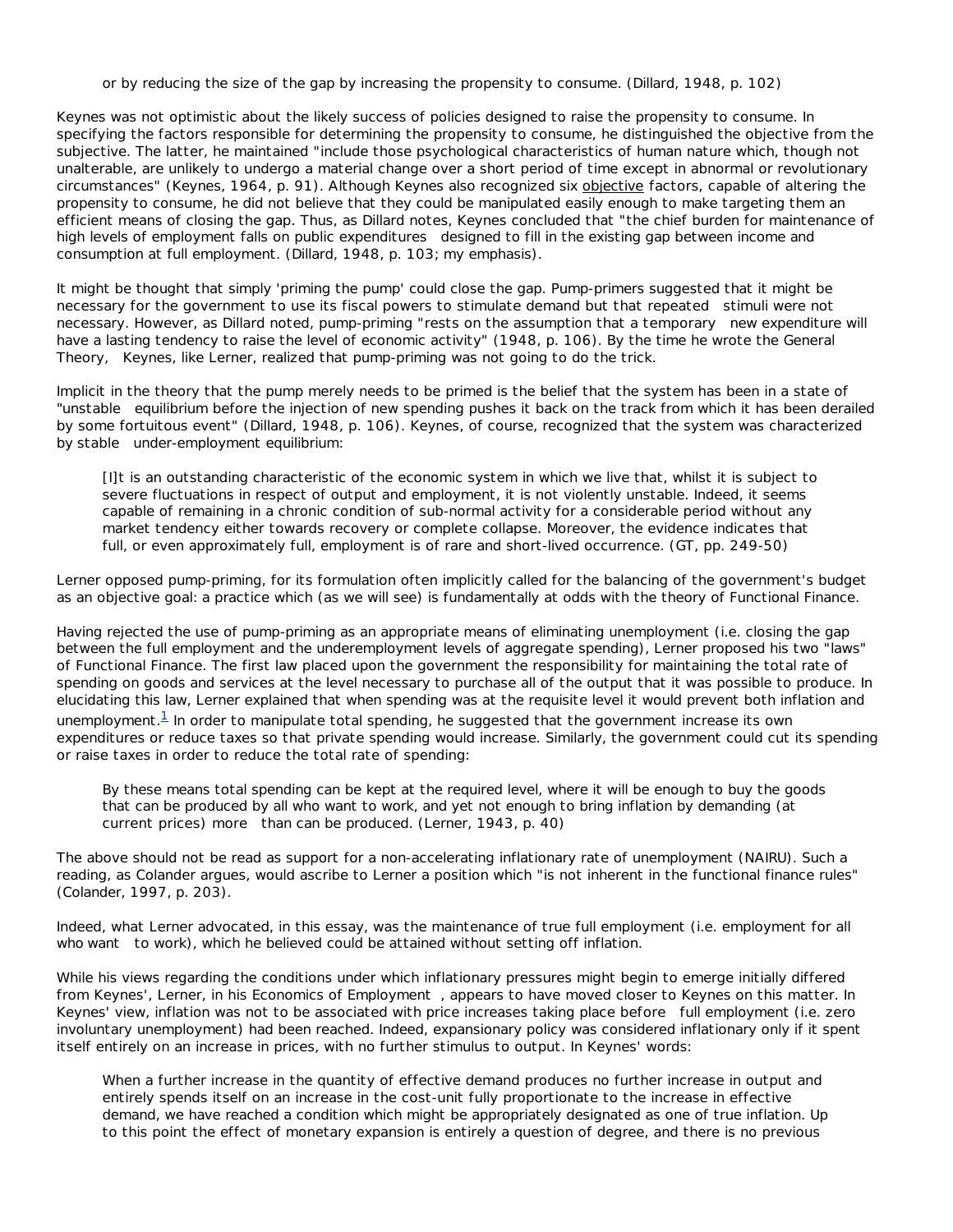or by reducing the size of the gap by increasing the propensity to consume. (Dillard, 1948, p. 102)

Keynes was not optimistic about the likely success of policies designed to raise the propensity to consume. In specifying the factors responsible for determining the propensity to consume, he distinguished the objective from the subjective. The latter, he maintained "include those psychological characteristics of human nature which, though not unalterable, are unlikely to undergo a material change over a short period of time except in abnormal or revolutionary circumstances" (Keynes, 1964, p. 91). Although Keynes also recognized six objective factors, capable of altering the propensity to consume, he did not believe that they could be manipulated easily enough to make targeting them an efficient means of closing the gap. Thus, as Dillard notes, Keynes concluded that "the chief burden for maintenance of high levels of employment falls on *public expenditures* designed to fill in the existing gap between income and consumption at full employment. (Dillard, 1948, p. 103; my emphasis).

It might be thought that simply 'priming the pump' could close the gap. Pump-primers suggested that it might be necessary for the government to use its fiscal powers to stimulate demand but that *repeated* stimuli were not necessary. However, as Dillard noted, pump-priming "rests on the assumption that a *temporary* new expenditure will have a lasting tendency to raise the level of economic activity" (1948, p. 106). By the time he wrote the *General Theory,* Keynes, like Lerner, realized that pump-priming was not going to do the trick.

Implicit in the theory that the pump merely needs to be primed is the belief that the system has been in a state of "*unstable* equilibrium before the injection of new spending pushes it back on the track from which it has been derailed by some fortuitous event" (Dillard, 1948, p. 106). Keynes, of course, recognized that the system was characterized by *stable* under-employment equilibrium:

[I]t is an outstanding characteristic of the economic system in which we live that, whilst it is subject to severe fluctuations in respect of output and employment, it is not violently unstable. Indeed, it seems capable of remaining in a chronic condition of sub-normal activity for a considerable period without any market tendency either towards recovery or complete collapse. Moreover, the evidence indicates that full, or even approximately full, employment is of rare and short-lived occurrence. (GT, pp. 249-50)

Lerner opposed pump-priming, for its formulation often implicitly called for the balancing of the government's budget as an objective goal: a practice which (as we will see) is fundamentally at odds with the theory of Functional Finance.

Having rejected the use of pump-priming as an appropriate means of eliminating unemployment (i.e. closing the gap between the full employment and the underemployment levels of aggregate spending), Lerner proposed his two "laws" of Functional Finance. The first law placed upon the government the responsibility for maintaining the total rate of spending on goods and services at the level necessary to purchase all of the output that it was possible to produce. In elucidating this law, Lerner explained that when spending was at the requisite level it would prevent both inflation and unemployment. $1$  In order to manipulate total spending, he suggested that the government increase its own expenditures or reduce taxes so that private spending would increase. Similarly, the government could cut its spending or raise taxes in order to reduce the total rate of spending:

By these means total spending can be kept at the required level, where it will be enough to buy the goods that can be produced by all who want to work, and yet not enough to bring inflation by demanding (at current prices) *more* than can be produced. (Lerner, 1943, p. 40)

The above should not be read as support for a non-accelerating inflationary rate of unemployment (NAIRU). Such a reading, as Colander argues, would ascribe to Lerner a position which "is not inherent in the functional finance rules" (Colander, 1997, p. 203).

Indeed, what Lerner advocated, in this essay, was the maintenance of true full employment (i.e. employment for all who *want* to work), which he believed could be attained without setting off inflation.

While his views regarding the conditions under which inflationary pressures might begin to emerge initially differed from Keynes', Lerner, in his *Economics of Employment* , appears to have moved closer to Keynes on this matter. In Keynes' view, inflation was not to be associated with price increases taking place *before* full employment (i.e. zero involuntary unemployment) had been reached. Indeed, expansionary policy was considered inflationary only if it spent itself entirely on an increase in prices, with no further stimulus to output. In Keynes' words:

When a further increase in the quantity of effective demand produces no further increase in output and entirely spends itself on an increase in the cost-unit fully proportionate to the increase in effective demand, we have reached a condition which might be appropriately designated as one of true inflation. Up to this point the effect of monetary expansion is entirely a question of degree, and there is no previous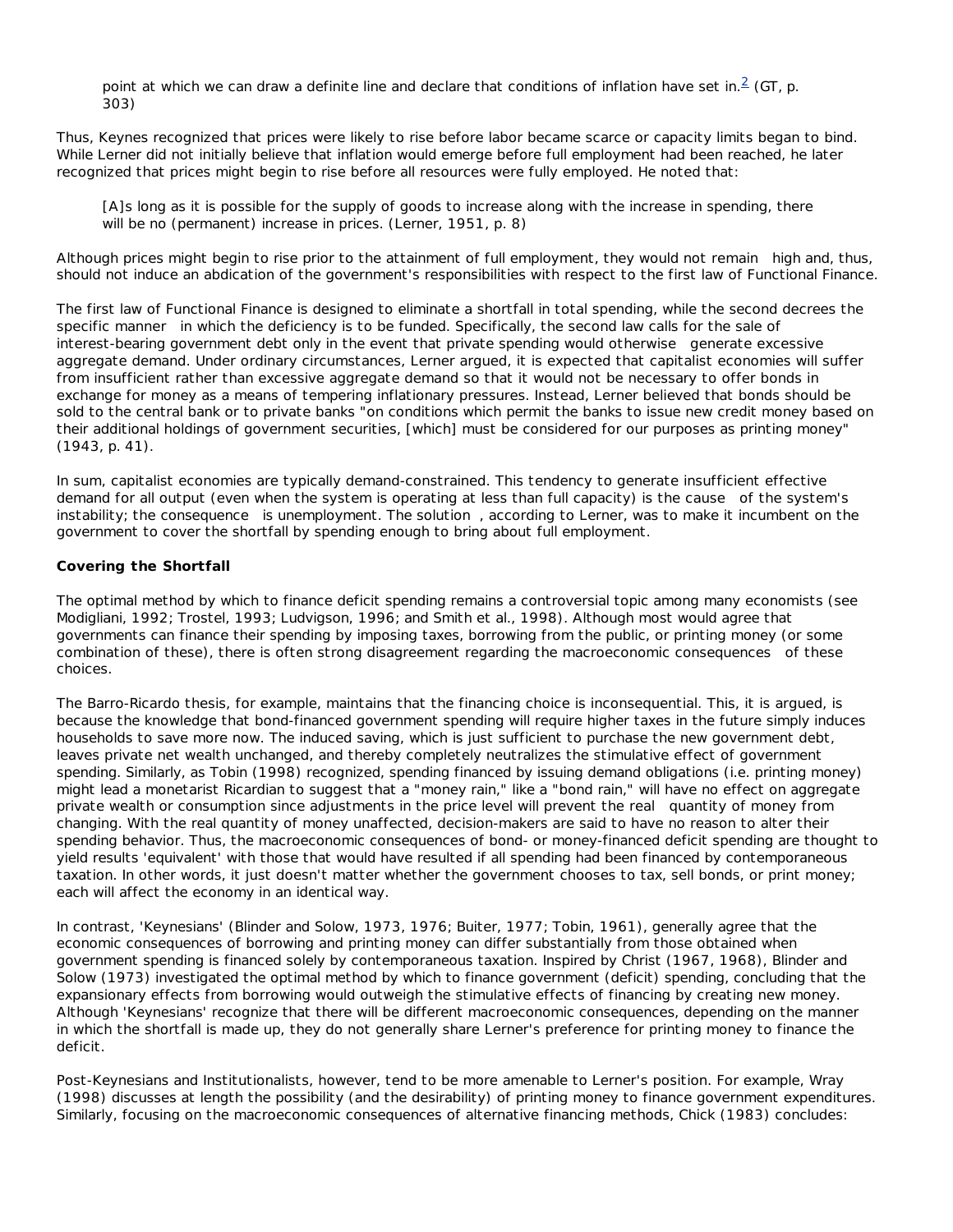point at which we can draw a definite line and declare that conditions of inflation have set in.<sup>2</sup> (GT, p. 303)

Thus, Keynes recognized that prices were likely to rise before labor became scarce or capacity limits began to bind. While Lerner did not initially believe that inflation would emerge before full employment had been reached, he later recognized that prices might begin to rise before all resources were fully employed. He noted that:

[A]s long as it is possible for the supply of goods to increase along with the increase in spending, there will be no (permanent) increase in prices. (Lerner, 1951, p. 8)

Although prices might begin to rise prior to the attainment of full employment, they would not *remain* high and, thus, should not induce an abdication of the government's responsibilities with respect to the first law of Functional Finance.

The first law of Functional Finance is designed to eliminate a shortfall in total spending, while the second decrees the specific *manner* in which the deficiency is to be funded. Specifically, the second law calls for the sale of interest-bearing government debt only in the event that private spending would *otherwise* generate excessive aggregate demand. Under ordinary circumstances, Lerner argued, it is expected that capitalist economies will suffer from insufficient rather than excessive aggregate demand so that it would not be necessary to offer bonds in exchange for money as a means of tempering inflationary pressures. Instead, Lerner believed that bonds should be sold to the central bank or to private banks "on conditions which permit the banks to issue new credit money based on their additional holdings of government securities, [which] must be considered for our purposes as printing money" (1943, p. 41).

In sum, capitalist economies are typically demand-constrained. This tendency to generate insufficient effective demand for all output (even when the system is operating at less than full capacity) is the *cause* of the system's instability; the *consequence* is unemployment. The *solution* , according to Lerner, was to make it incumbent on the government to cover the shortfall by spending enough to bring about full employment.

### **Covering the Shortfall**

The optimal method by which to finance deficit spending remains a controversial topic among many economists (see Modigliani, 1992; Trostel, 1993; Ludvigson, 1996; and Smith et al., 1998). Although most would agree that governments can finance their spending by imposing taxes, borrowing from the public, or printing money (or some combination of these), there is often strong disagreement regarding the macroeconomic *consequences* of these choices.

The Barro-Ricardo thesis, for example, maintains that the financing choice is inconsequential. This, it is argued, is because the knowledge that bond-financed government spending will require higher taxes in the future simply induces households to save more now. The induced saving, which is just sufficient to purchase the new government debt, leaves private net wealth unchanged, and thereby completely neutralizes the stimulative effect of government spending. Similarly, as Tobin (1998) recognized, spending financed by issuing demand obligations (i.e. printing money) might lead a monetarist Ricardian to suggest that a "money rain," like a "bond rain," will have no effect on aggregate private wealth or consumption since adjustments in the price level will prevent the *real* quantity of money from changing. With the real quantity of money unaffected, decision-makers are said to have no reason to alter their spending behavior. Thus, the macroeconomic consequences of bond- or money-financed deficit spending are thought to yield results 'equivalent' with those that would have resulted if all spending had been financed by contemporaneous taxation. In other words, it just doesn't matter whether the government chooses to tax, sell bonds, or print money; each will affect the economy in an identical way.

In contrast, 'Keynesians' (Blinder and Solow, 1973, 1976; Buiter, 1977; Tobin, 1961), generally agree that the economic consequences of borrowing and printing money can differ substantially from those obtained when government spending is financed solely by contemporaneous taxation. Inspired by Christ (1967, 1968), Blinder and Solow (1973) investigated the optimal method by which to finance government (deficit) spending, concluding that the expansionary effects from borrowing would outweigh the stimulative effects of financing by creating new money. Although 'Keynesians' recognize that there will be different macroeconomic consequences, depending on the *manner* in which the shortfall is made up, they do not generally share Lerner's preference for printing money to finance the deficit.

Post-Keynesians and Institutionalists, however, tend to be more amenable to Lerner's position. For example, Wray (1998) discusses at length the possibility (and the desirability) of printing money to finance government expenditures. Similarly, focusing on the macroeconomic consequences of alternative financing methods, Chick (1983) concludes: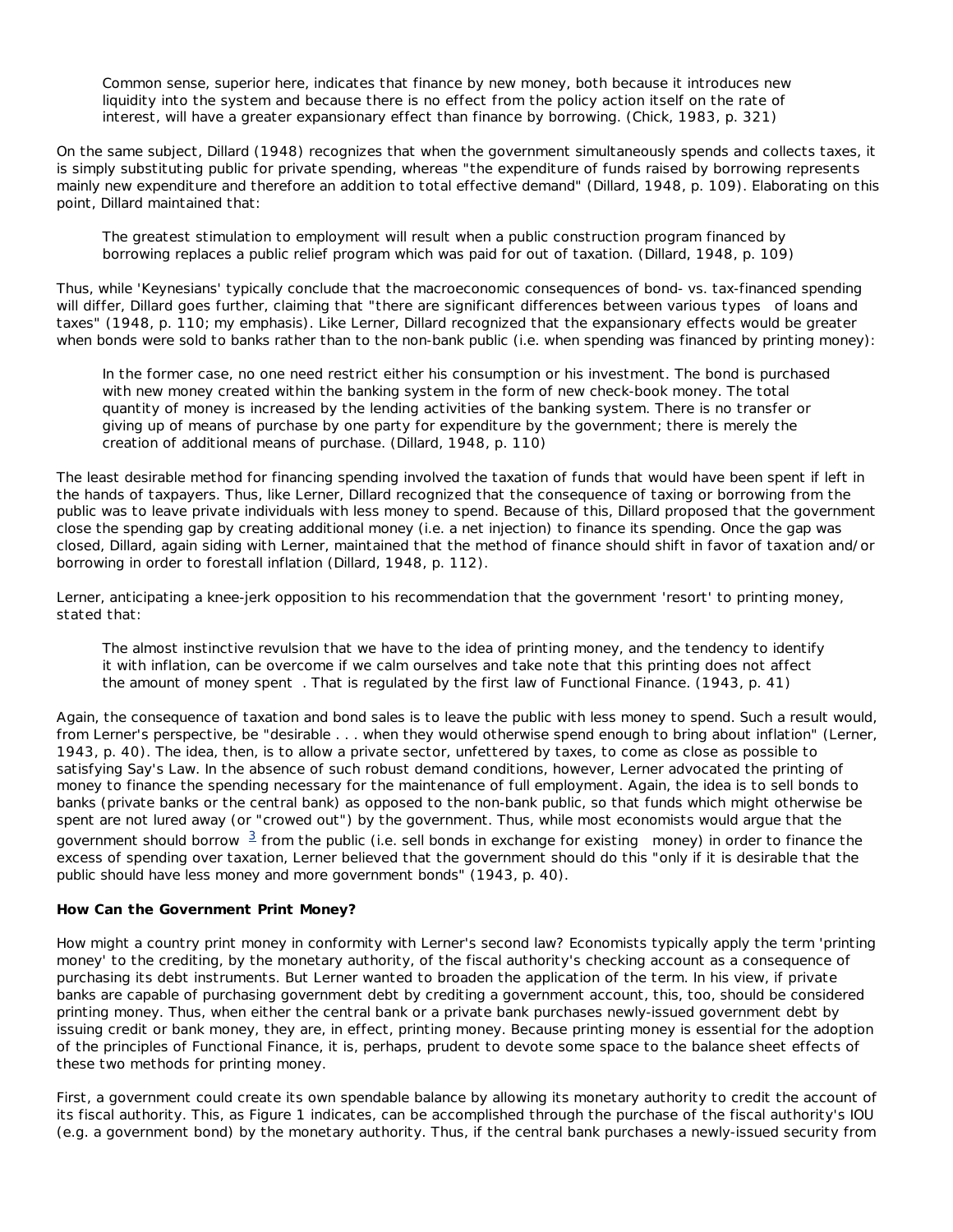Common sense, superior here, indicates that finance by new money, both because it introduces new liquidity into the system and because there is no effect from the policy action itself on the rate of interest, will have a greater expansionary effect than finance by borrowing. (Chick, 1983, p. 321)

On the same subject, Dillard (1948) recognizes that when the government simultaneously spends and collects taxes, it is simply substituting public for private spending, whereas "the expenditure of funds raised by borrowing represents mainly new expenditure and therefore an addition to total effective demand" (Dillard, 1948, p. 109). Elaborating on this point, Dillard maintained that:

The greatest stimulation to employment will result when a public construction program financed by borrowing replaces a public relief program which was paid for out of taxation. (Dillard, 1948, p. 109)

Thus, while 'Keynesians' typically conclude that the macroeconomic consequences of bond- vs. tax-financed spending will differ, Dillard goes further, claiming that "there are significant differences between various *types* of loans and taxes" (1948, p. 110; my emphasis). Like Lerner, Dillard recognized that the expansionary effects would be greater when bonds were sold to banks rather than to the non-bank public (i.e. when spending was financed by printing money):

In the former case, no one need restrict either his consumption or his investment. The bond is purchased with new money created within the banking system in the form of new check-book money. The total quantity of money is increased by the lending activities of the banking system. There is no transfer or giving up of means of purchase by one party for expenditure by the government; there is merely the creation of additional means of purchase. (Dillard, 1948, p. 110)

The least desirable method for financing spending involved the taxation of funds that would have been spent if left in the hands of taxpayers. Thus, like Lerner, Dillard recognized that the consequence of taxing or borrowing from the public was to leave private individuals with less money to spend. Because of this, Dillard proposed that the government close the spending gap by creating additional money (i.e. a net injection) to finance its spending. Once the gap was closed, Dillard, again siding with Lerner, maintained that the method of finance should shift in favor of taxation and/or borrowing in order to forestall inflation (Dillard, 1948, p. 112).

Lerner, anticipating a knee-jerk opposition to his recommendation that the government 'resort' to printing money, stated that:

The almost instinctive revulsion that we have to the idea of printing money, and the tendency to identify it with inflation, can be overcome if we calm ourselves and take note that this printing does not affect the amount of money *spent* . That is regulated by the first law of Functional Finance. (1943, p. 41)

Again, the consequence of taxation and bond sales is to leave the public with less money to spend. Such a result would, from Lerner's perspective, be "desirable . . . when they would otherwise spend enough to bring about inflation" (Lerner, 1943, p. 40). The idea, then, is to allow a private sector, unfettered by taxes, to come as close as possible to satisfying Say's Law. In the absence of such robust demand conditions, however, Lerner advocated the printing of money to finance the spending necessary for the maintenance of full employment. Again, the idea is to sell bonds to banks (private banks or the central bank) as opposed to the non-bank public, so that funds which might otherwise be spent are not lured away (or "crowed out") by the government. Thus, while most economists would argue that the government should *borrow*  $\frac{3}{2}$  from the public (i.e. sell bonds in exchange for *existing* money) in order to finance the excess of spending over taxation, Lerner believed that the government should do this "only if it is desirable that the public should have less money and more government bonds" (1943, p. 40).

### **How Can the Government Print Money?**

How might a country print money in conformity with Lerner's second law? Economists typically apply the term 'printing money' to the crediting, by the monetary authority, of the fiscal authority's checking account as a consequence of purchasing its debt instruments. But Lerner wanted to broaden the application of the term. In his view, if *private* banks are capable of purchasing government debt by crediting a government account, this, too, should be considered printing money. Thus, when either the central bank or a private bank purchases newly-issued government debt by issuing credit or bank money, they are, in effect, printing money. Because printing money is essential for the adoption of the principles of Functional Finance, it is, perhaps, prudent to devote some space to the balance sheet effects of these two methods for printing money.

First, a government could create its own spendable balance by allowing its monetary authority to credit the account of its fiscal authority. This, as Figure 1 indicates, can be accomplished through the purchase of the fiscal authority's IOU (e.g. a government bond) by the monetary authority. Thus, if the central bank purchases a newly-issued security from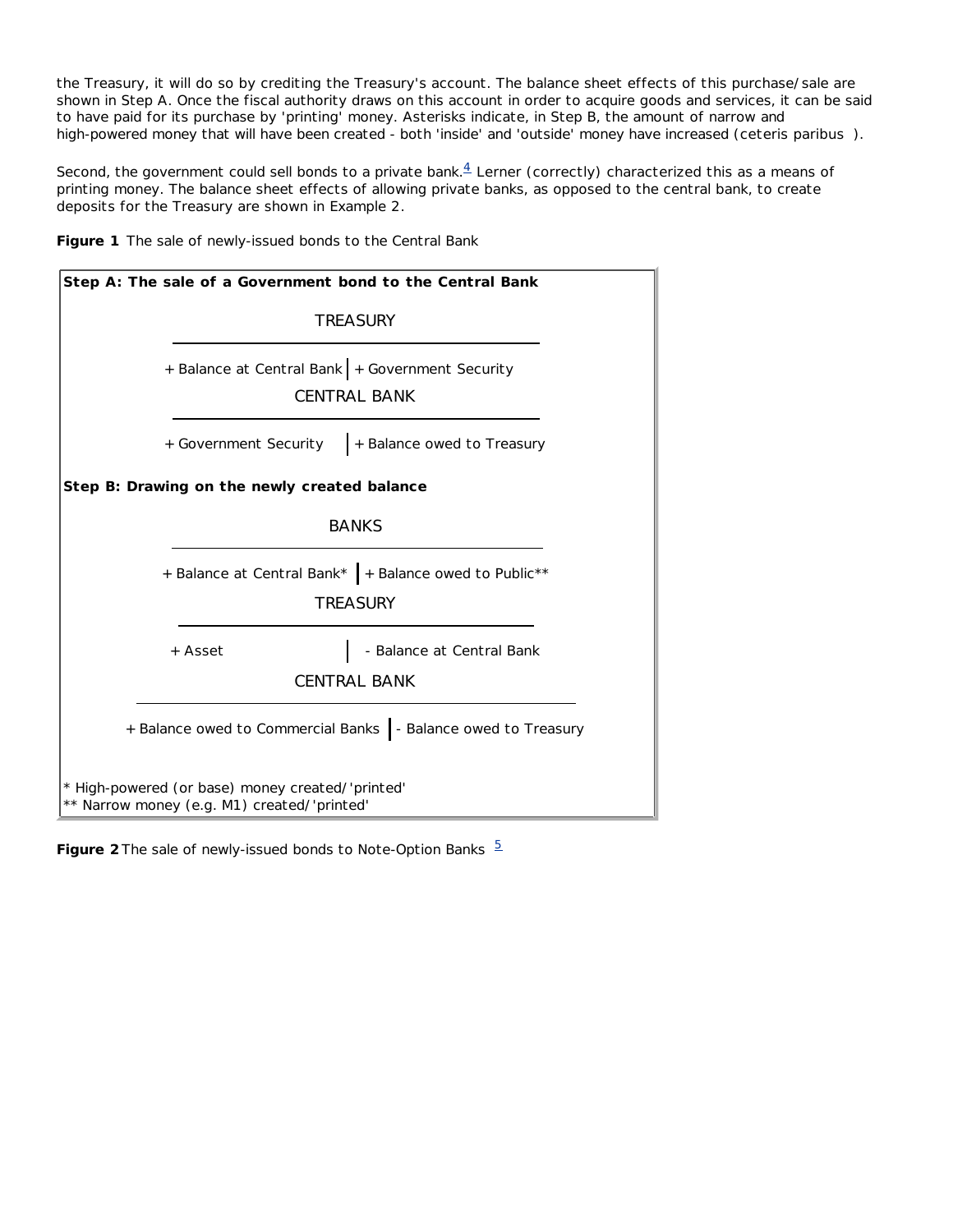the Treasury, it will do so by crediting the Treasury's account. The balance sheet effects of this purchase/sale are shown in Step A. Once the fiscal authority draws on this account in order to acquire goods and services, it can be said to have paid for its purchase by 'printing' money. Asterisks indicate, in Step B, the amount of narrow *and* high-powered money that will have been created - both 'inside' and 'outside' money have increased (*ceteris paribus* ).

Second, the government could sell bonds to a private bank. $4$  Lerner (correctly) characterized this as a means of printing money. The balance sheet effects of allowing private banks, as opposed to the central bank, to create deposits for the Treasury are shown in Example 2.



| Step A: The sale of a Government bond to the Central Bank                                       |  |  |  |
|-------------------------------------------------------------------------------------------------|--|--|--|
| <b>TREASURY</b>                                                                                 |  |  |  |
| + Balance at Central Bank + Government Security<br><b>CENTRAL BANK</b>                          |  |  |  |
| + Balance owed to Treasury<br>+ Government Security                                             |  |  |  |
| Step B: Drawing on the newly created balance                                                    |  |  |  |
| <b>BANKS</b>                                                                                    |  |  |  |
| + Balance at Central Bank*   + Balance owed to Public**<br><b>TREASURY</b>                      |  |  |  |
| - Balance at Central Bank<br>+ Asset<br><b>CENTRAL BANK</b>                                     |  |  |  |
| + Balance owed to Commercial Banks   - Balance owed to Treasury                                 |  |  |  |
| * High-powered (or base) money created/'printed'<br>** Narrow money (e.g. M1) created/'printed' |  |  |  |

Figure 2 The sale of newly-issued bonds to Note-Option Banks <sup>5</sup>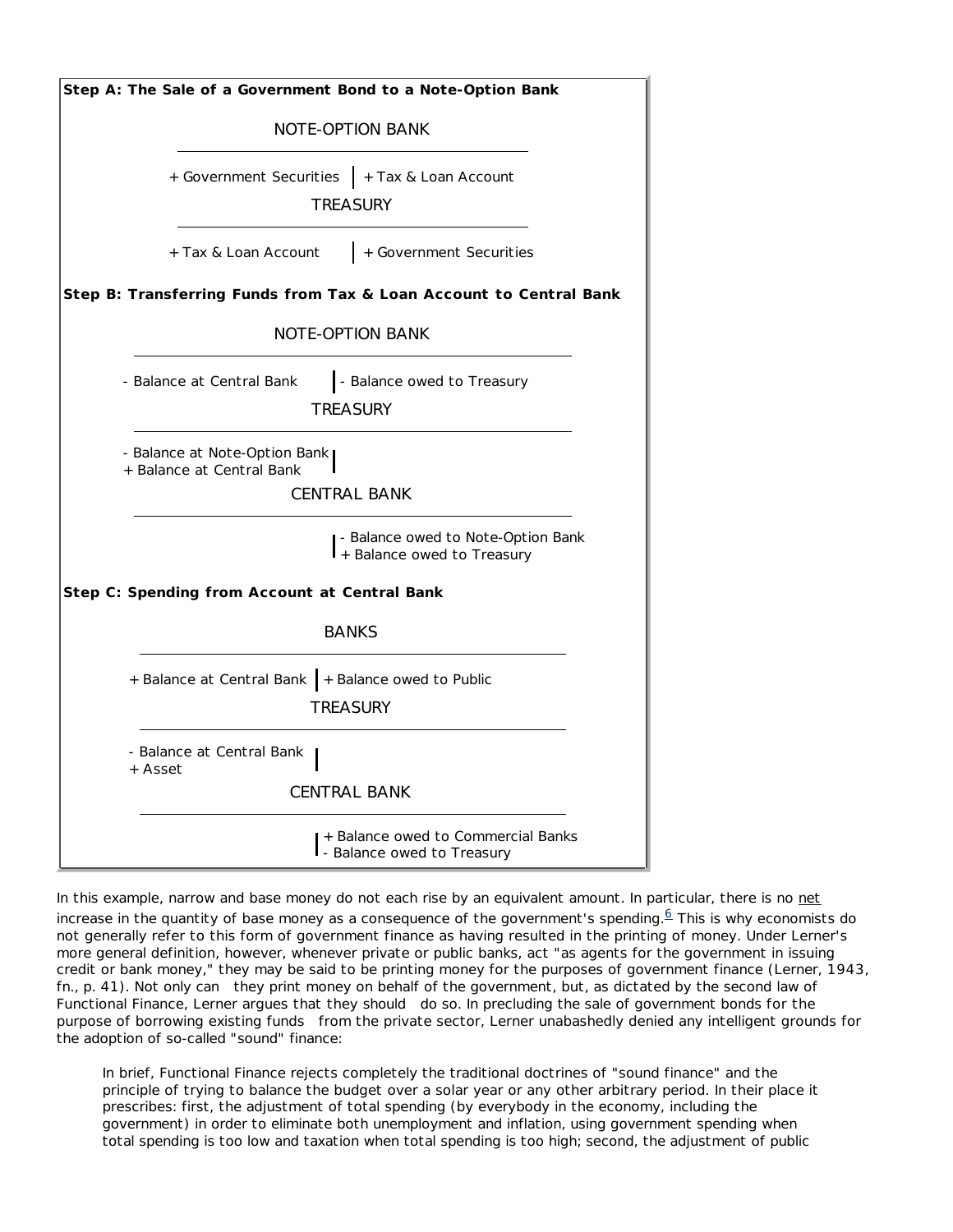| Step A: The Sale of a Government Bond to a Note-Option Bank                       |  |  |  |
|-----------------------------------------------------------------------------------|--|--|--|
| <b>NOTE-OPTION BANK</b>                                                           |  |  |  |
| + Government Securities   + Tax & Loan Account<br><b>TREASURY</b>                 |  |  |  |
| + Government Securities<br>+ Tax & Loan Account                                   |  |  |  |
| Step B: Transferring Funds from Tax & Loan Account to Central Bank                |  |  |  |
| <b>NOTE-OPTION BANK</b>                                                           |  |  |  |
| - Balance owed to Treasury<br>- Balance at Central Bank<br>TREASURY               |  |  |  |
| - Balance at Note-Option Bank<br>+ Balance at Central Bank<br><b>CENTRAL BANK</b> |  |  |  |
| - Balance owed to Note-Option Bank<br>+ Balance owed to Treasury                  |  |  |  |
| Step C: Spending from Account at Central Bank                                     |  |  |  |
| <b>BANKS</b>                                                                      |  |  |  |
| + Balance at Central Bank + Balance owed to Public<br><b>TREASURY</b>             |  |  |  |
| - Balance at Central Bank<br>+ Asset                                              |  |  |  |
| <b>CENTRAL BANK</b>                                                               |  |  |  |
| + Balance owed to Commercial Banks<br>- Balance owed to Treasury                  |  |  |  |

In this example, narrow and base money do not each rise by an equivalent amount. In particular, there is no net increase in the quantity of base money as a consequence of the government's spending. $6$  This is why economists do not generally refer to this form of government finance as having resulted in the printing of money. Under Lerner's more general definition, however, whenever private or public banks, act "as agents for the government in issuing credit or bank money," they may be said to be printing money for the purposes of government finance (Lerner, 1943, fn., p. 41). Not only *can* they print money on behalf of the government, but, as dictated by the second law of Functional Finance, Lerner argues that they *should* do so. In precluding the sale of government bonds *for the purpose of borrowing existing funds* from the private sector, Lerner unabashedly denied any intelligent grounds for the adoption of so-called "sound" finance:

In brief, Functional Finance rejects completely the traditional doctrines of "sound finance" and the principle of trying to balance the budget over a solar year or any other arbitrary period. In their place it prescribes: first, the adjustment of total spending (by everybody in the economy, including the government) in order to eliminate both unemployment and inflation, using government spending when total spending is too low and taxation when total spending is too high; second, the adjustment of public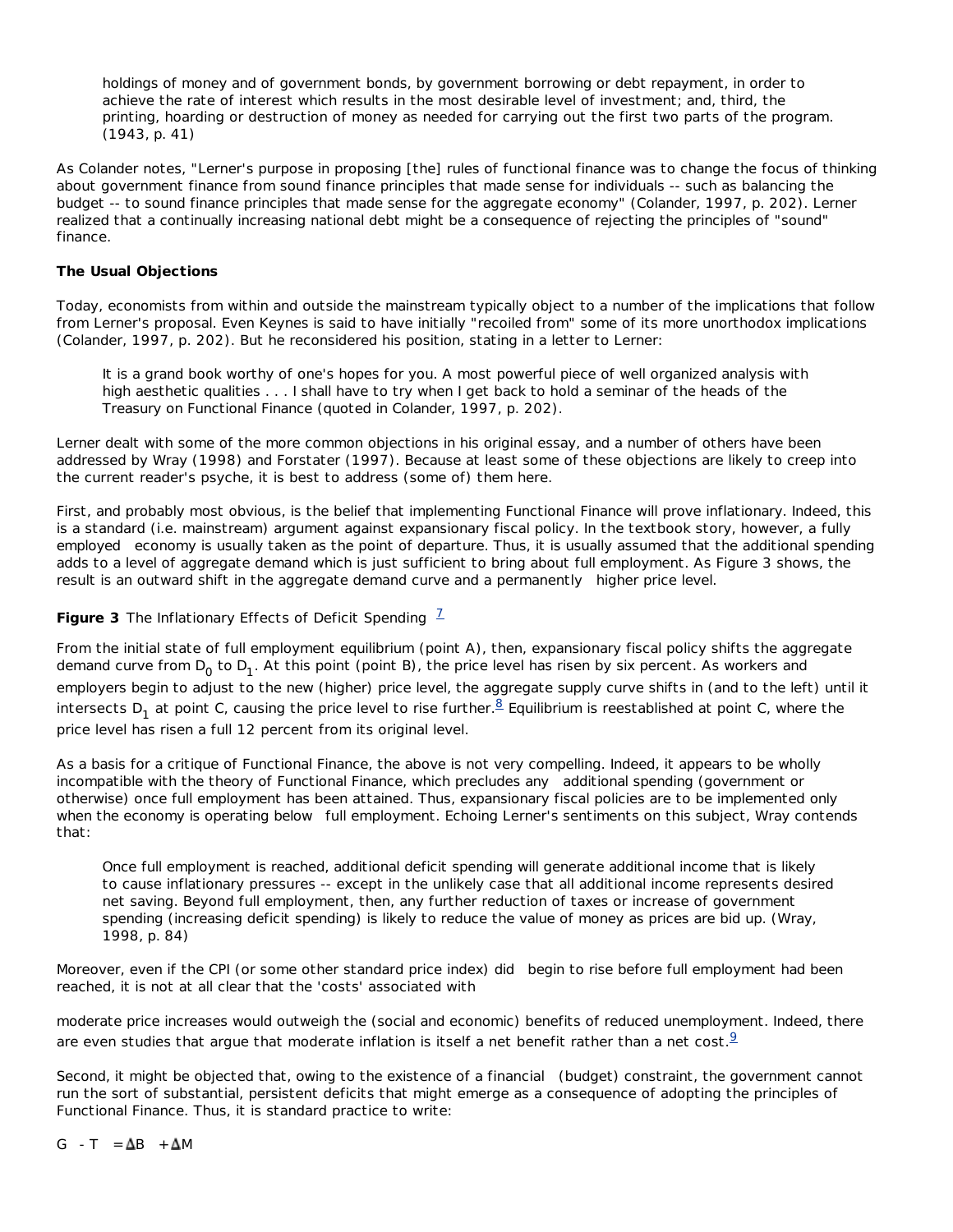holdings of money and of government bonds, by government borrowing or debt repayment, in order to achieve the rate of interest which results in the most desirable level of investment; and, third, the printing, hoarding or destruction of money as needed for carrying out the first two parts of the program. (1943, p. 41)

As Colander notes, "Lerner's purpose in proposing [the] rules of functional finance was to change the focus of thinking about government finance from sound finance principles that made sense for individuals -- such as balancing the budget -- to sound finance principles that made sense for the aggregate economy" (Colander, 1997, p. 202). Lerner realized that a continually increasing national debt might be a consequence of rejecting the principles of "sound" finance.

## **The Usual Objections**

Today, economists from within and outside the mainstream typically object to a number of the implications that follow from Lerner's proposal. Even Keynes is said to have initially "recoiled from" some of its more unorthodox implications (Colander, 1997, p. 202). But he reconsidered his position, stating in a letter to Lerner:

It is a grand book worthy of one's hopes for you. A most powerful piece of well organized analysis with high aesthetic qualities . . . I shall have to try when I get back to hold a seminar of the heads of the Treasury on Functional Finance (quoted in Colander, 1997, p. 202).

Lerner dealt with some of the more common objections in his original essay, and a number of others have been addressed by Wray (1998) and Forstater (1997). Because at least some of these objections are likely to creep into the current reader's psyche, it is best to address (some of) them here.

First, and probably most obvious, is the belief that implementing Functional Finance will prove inflationary. Indeed, this is a standard (i.e. mainstream) argument against expansionary fiscal policy. In the textbook story, however, a *fully employed* economy is usually taken as the point of departure. Thus, it is usually assumed that the additional spending adds to a level of aggregate demand which is just sufficient to bring about full employment. As Figure 3 shows, the result is an outward shift in the aggregate demand curve and a *permanently* higher price level.

# **Figure 3** *The Inflationary Effects of Deficit Spending*  $\frac{7}{6}$

From the initial state of full employment equilibrium (point A), then, expansionary fiscal policy shifts the aggregate demand curve from D<sub>0</sub> to D<sub>1</sub>. At this point (point B), the price level has risen by six percent. As workers and employers begin to adjust to the new (higher) price level, the aggregate supply curve shifts in (and to the left) until it intersects D<sub>1</sub> at point C, causing the price level to rise further. $^8$  Equilibrium is reestablished at point C, where the price level has risen a full 12 percent from its original level.

As a basis for a critique of Functional Finance, the above is not very compelling. Indeed, it appears to be wholly incompatible with the theory of Functional Finance, which precludes *any* additional spending (government or otherwise) once full employment has been attained. Thus, expansionary fiscal policies are to be implemented *only* when the economy is operating *below* full employment. Echoing Lerner's sentiments on this subject, Wray contends that:

Once full employment is reached, additional deficit spending will generate additional income that is likely to cause inflationary pressures -- except in the unlikely case that all additional income represents desired net saving. Beyond full employment, then, any further reduction of taxes or increase of government spending (increasing deficit spending) is likely to reduce the value of money as prices are bid up. (Wray, 1998, p. 84)

Moreover, even if the CPI (or some other standard price index) *did* begin to rise before full employment had been reached, it is not at all clear that the 'costs' associated with

moderate price increases would outweigh the (social and economic) benefits of reduced unemployment. Indeed, there are even studies that argue that moderate inflation is itself a net benefit rather than a net cost.  $9$ 

Second, it might be objected that, owing to the existence of a *financial* (budget) constraint, the government cannot run the sort of substantial, persistent deficits that might emerge as a consequence of adopting the principles of Functional Finance. Thus, it is standard practice to write:

 $G - T = \Delta B + \Delta M$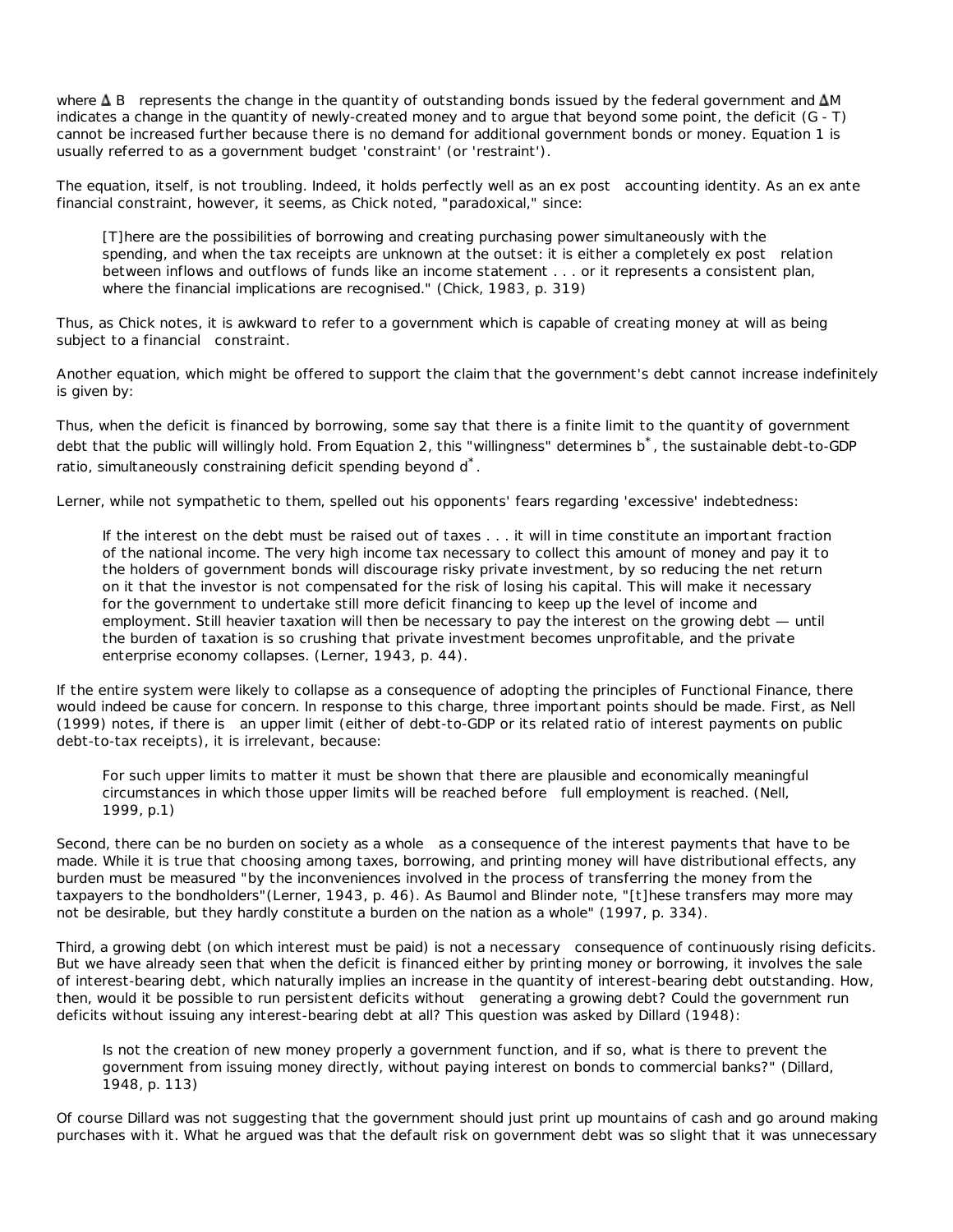where ∆B represents the change in the quantity of outstanding bonds issued by the federal government and ∆*M* indicates a change in the quantity of newly-created money and to argue that beyond some point, the deficit (G - T) cannot be increased further because there is no demand for additional government bonds or money. Equation 1 is usually referred to as a government budget 'constraint' (or 'restraint').

The equation, itself, is not troubling. Indeed, it holds perfectly well as an *ex post* accounting identity. As an *ex ante* financial constraint, however, it seems, as Chick noted, "paradoxical," since:

[T]here are the possibilities of borrowing and creating purchasing power simultaneously with the spending, and when the tax receipts are unknown at the outset: it is either a completely *ex post* relation between inflows and outflows of funds like an income statement . . . or it represents a consistent plan, where the financial implications are recognised." (Chick, 1983, p. 319)

Thus, as Chick notes, it is awkward to refer to a government which is capable of creating money at will as being subject to a *financial* constraint.

Another equation, which might be offered to support the claim that the government's debt cannot increase indefinitely is given by:

Thus, when the deficit is financed by borrowing, some say that there is a finite limit to the quantity of government debt that the public will willingly hold. From Equation 2, this "willingness" determines b<sup>\*</sup>, the sustainable debt-to-GDP ratio, simultaneously constraining deficit spending beyond d<sup>\*</sup>.

Lerner, while not sympathetic to them, spelled out his opponents' fears regarding 'excessive' indebtedness:

If the interest on the debt must be raised out of taxes . . . it will in time constitute an important fraction of the national income. The very high income tax necessary to collect this amount of money and pay it to the holders of government bonds will discourage risky private investment, by so reducing the net return on it that the investor is not compensated for the risk of losing his capital. This will make it necessary for the government to undertake still more deficit financing to keep up the level of income and employment. Still heavier taxation will then be necessary to pay the interest on the growing debt — until the burden of taxation is so crushing that private investment becomes unprofitable, and the private enterprise economy collapses. (Lerner, 1943, p. 44).

If the entire system were likely to collapse as a consequence of adopting the principles of Functional Finance, there would indeed be cause for concern. In response to this charge, three important points should be made. First, as Nell (1999) notes, if there *is* an upper limit (either of debt-to-GDP or its related ratio of interest payments on public debt-to-tax receipts), it is irrelevant, because:

For such upper limits to matter it must be shown that there are plausible and economically meaningful circumstances in which those upper limits will be reached *before* full employment is reached. (Nell, 1999, p.1)

Second, there can be no burden on society *as a whole* as a consequence of the interest payments that have to be made. While it is true that choosing among taxes, borrowing, and printing money will have distributional effects, any burden must be measured "by the inconveniences involved in the process of transferring the money from the taxpayers to the bondholders"(Lerner, 1943, p. 46). As Baumol and Blinder note, "[t]hese transfers may more may not be desirable, but they hardly constitute a burden on the nation as a whole" (1997, p. 334).

Third, a growing debt (on which interest must be paid) is not a *necessary* consequence of continuously rising deficits. But we have already seen that when the deficit is financed either by printing money or borrowing, it involves the sale of interest-bearing debt, which naturally implies an increase in the quantity of interest-bearing debt outstanding. How, then, would it be possible to run persistent deficits *without* generating a growing debt? Could the government run deficits without issuing any interest-bearing debt at all? This question was asked by Dillard (1948):

Is not the creation of new money properly a government function, and if so, what is there to prevent the government from issuing money directly, without paying interest on bonds to commercial banks?" (Dillard, 1948, p. 113)

Of course Dillard was not suggesting that the government should just print up mountains of cash and go around making purchases with it. What he argued was that the default risk on government debt was so slight that it was unnecessary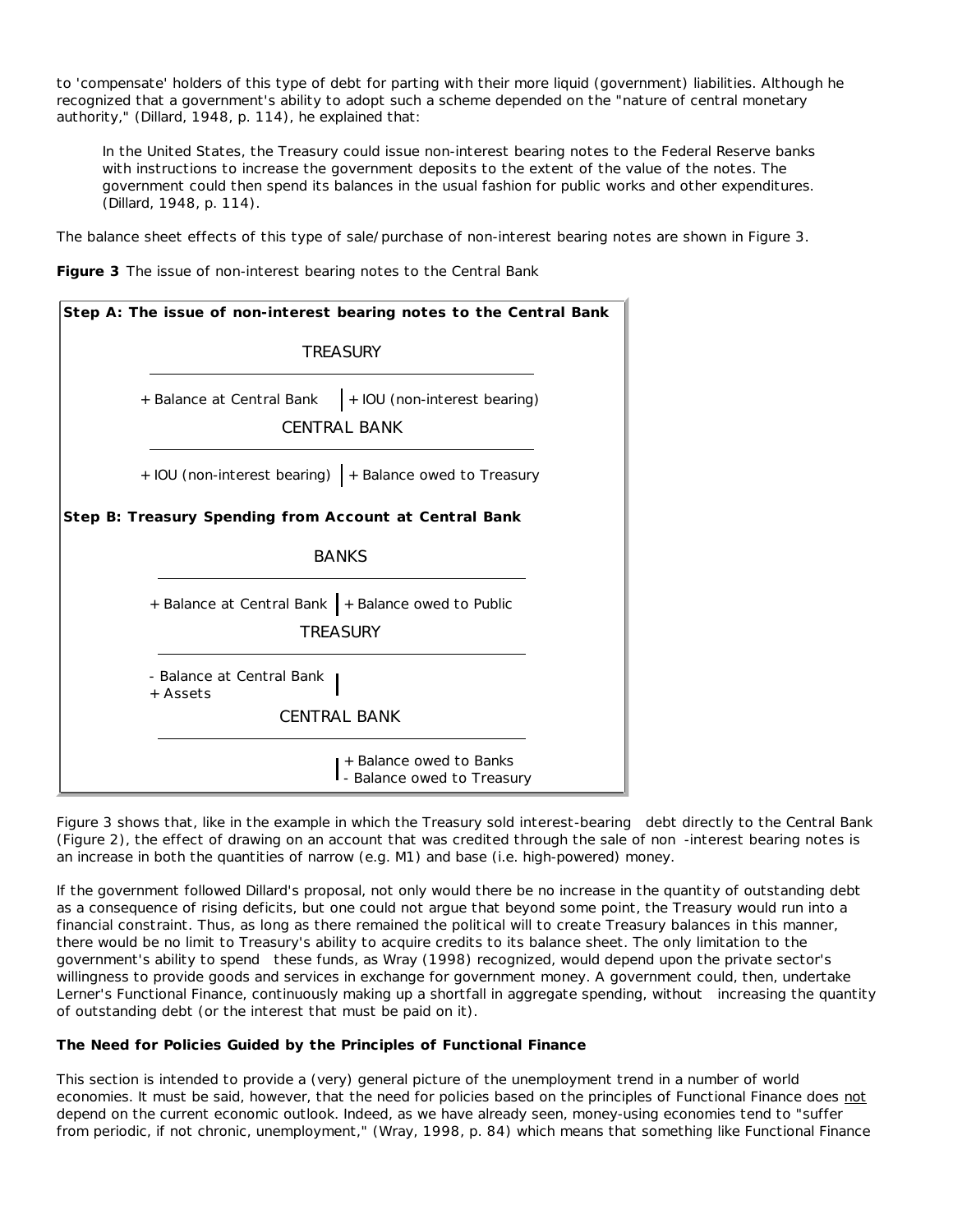to 'compensate' holders of this type of debt for parting with their more liquid (government) liabilities. Although he recognized that a government's ability to adopt such a scheme depended on the "nature of central monetary authority," (Dillard, 1948, p. 114), he explained that:

In the United States, the Treasury could issue non-interest bearing notes to the Federal Reserve banks with instructions to increase the government deposits to the extent of the value of the notes. The government could then spend its balances in the usual fashion for public works and other expenditures. (Dillard, 1948, p. 114).

The balance sheet effects of this type of sale/purchase of non-interest bearing notes are shown in Figure 3.



| Step A: The issue of non-interest bearing notes to the Central Bank              |  |  |  |
|----------------------------------------------------------------------------------|--|--|--|
| <b>TRFASURY</b>                                                                  |  |  |  |
| + IOU (non-interest bearing)<br>+ Balance at Central Bank<br><b>CENTRAL BANK</b> |  |  |  |
| + IOU (non-interest bearing)   + Balance owed to Treasury                        |  |  |  |
| Step B: Treasury Spending from Account at Central Bank                           |  |  |  |
| <b>BANKS</b>                                                                     |  |  |  |
| + Balance at Central Bank   + Balance owed to Public<br><b>TREASURY</b>          |  |  |  |
| - Balance at Central Bank<br>+ Assets<br><b>CENTRAL BANK</b>                     |  |  |  |
| + Balance owed to Banks<br>- Balance owed to Treasury                            |  |  |  |

Figure 3 shows that, like in the example in which the Treasury sold *interest-bearing* debt directly to the Central Bank (Figure 2), the effect of drawing on an account that was credited through the sale of *non* -interest bearing notes is an increase in both the quantities of narrow (e.g. M1) and base (i.e. high-powered) money.

If the government followed Dillard's proposal, not only would there be no increase in the quantity of outstanding debt as a consequence of rising deficits, but one could not argue that beyond some point, the Treasury would run into a financial constraint. Thus, as long as there remained the political will to create Treasury balances in this manner, there would be no limit to Treasury's ability to acquire credits to its balance sheet. The only limitation to the government's ability to *spend* these funds, as Wray (1998) recognized, would depend upon the private sector's willingness to provide goods and services in exchange for government money. A government could, then, undertake Lerner's Functional Finance, continuously making up a shortfall in aggregate spending, *without* increasing the quantity of outstanding debt (or the interest that must be paid on it).

### **The Need for Policies Guided by the Principles of Functional Finance**

This section is intended to provide a (very) general picture of the unemployment trend in a number of world economies. It must be said, however, that the need for policies based on the principles of Functional Finance does not depend on the current economic outlook. Indeed, as we have already seen, money-using economies tend to "suffer from periodic, if not chronic, unemployment," (Wray, 1998, p. 84) which means that something like Functional Finance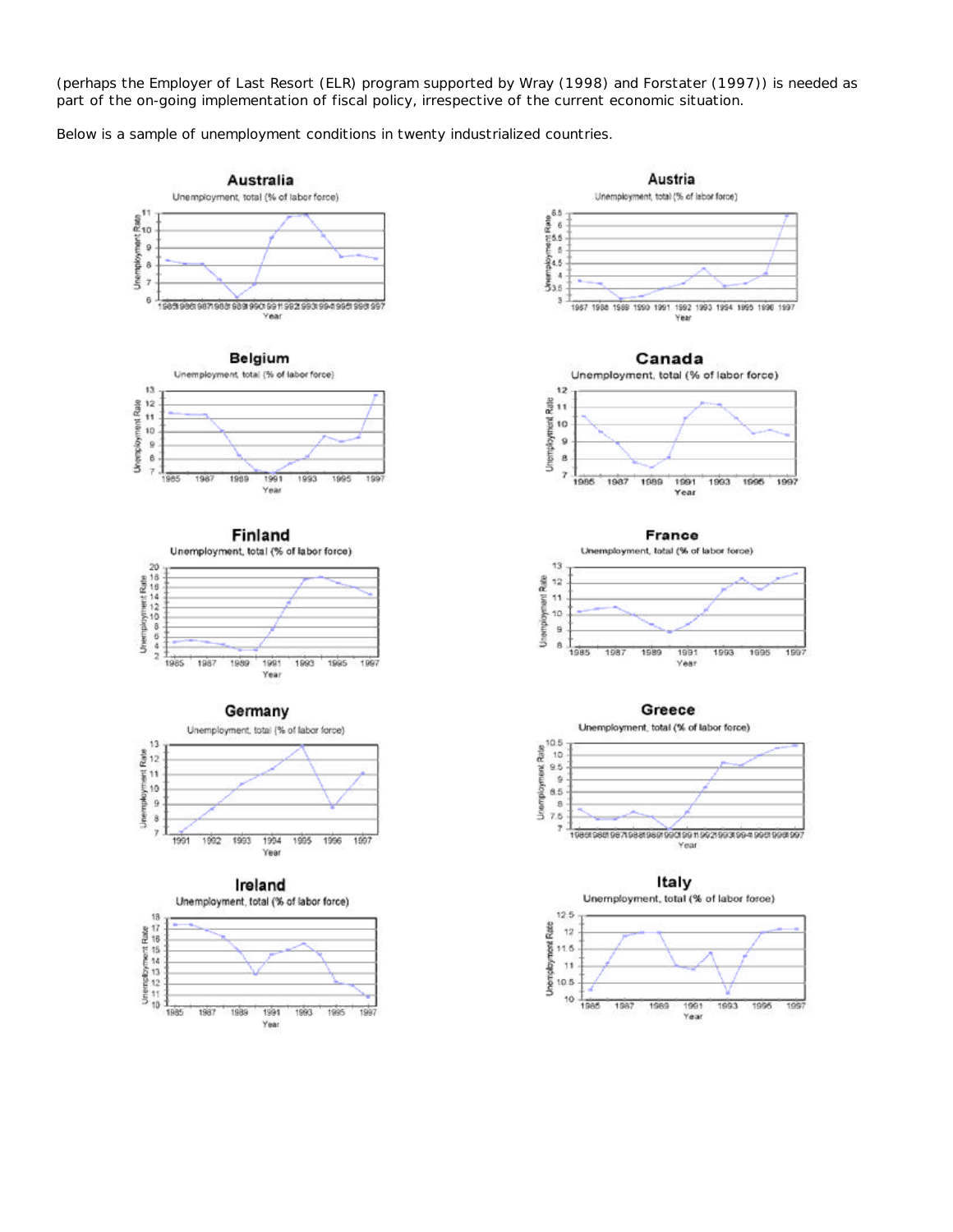(perhaps the Employer of Last Resort (ELR) program supported by Wray (1998) and Forstater (1997)) is needed as part of the on-going implementation of fiscal policy, irrespective of the current economic situation.

1997

1997

 $1007$ 

Below is a sample of unemployment conditions in twenty industrialized countries.

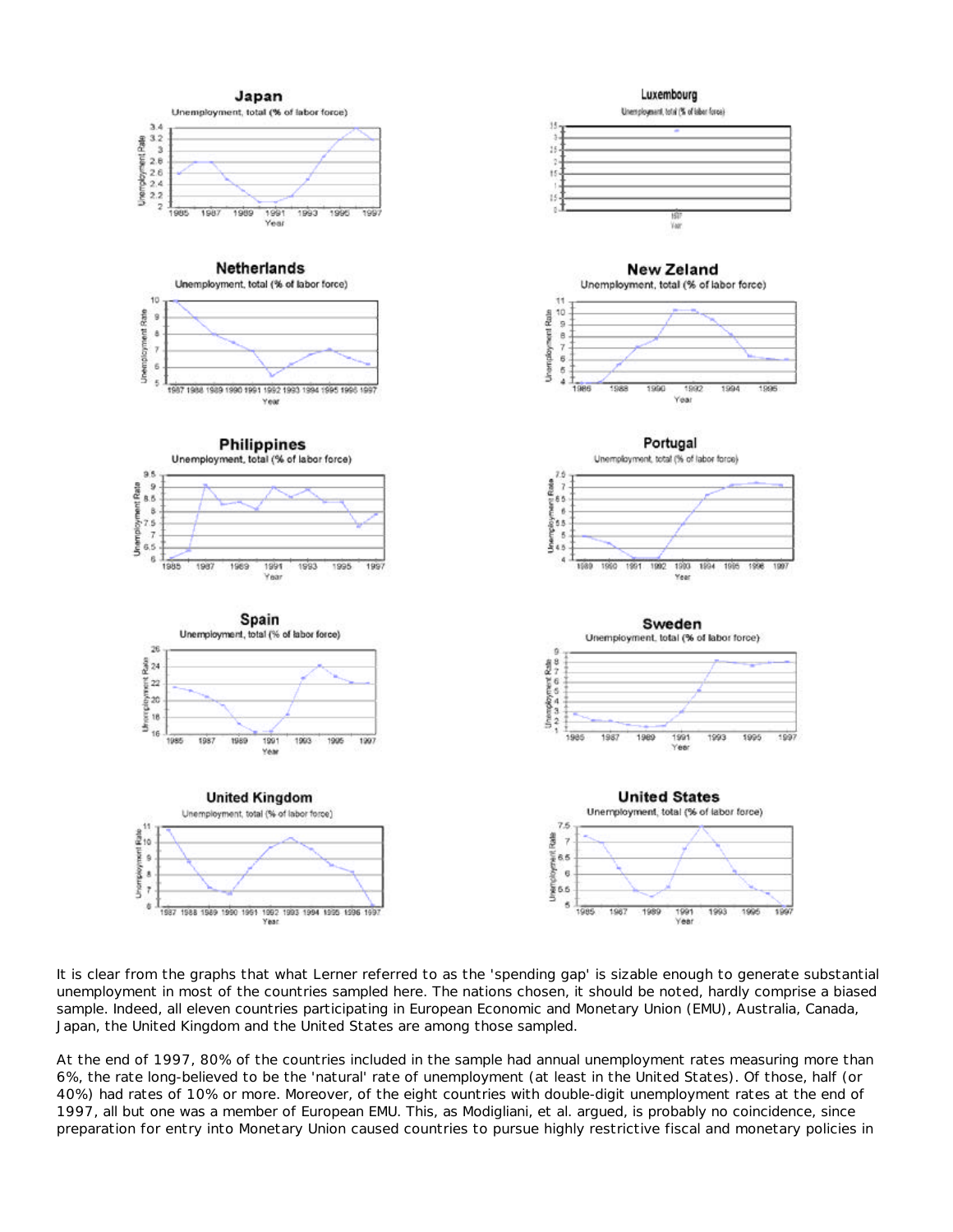

It is clear from the graphs that what Lerner referred to as the 'spending gap' is sizable enough to generate substantial unemployment in most of the countries sampled here. The nations chosen, it should be noted, hardly comprise a biased sample. Indeed, all eleven countries participating in European Economic and Monetary Union (EMU), Australia, Canada, Japan, the United Kingdom and the United States are among those sampled.

At the end of 1997, 80% of the countries included in the sample had annual unemployment rates measuring more than 6%, the rate long-believed to be the 'natural' rate of unemployment (at least in the United States). Of those, half (or 40%) had rates of 10% or more. Moreover, of the eight countries with double-digit unemployment rates at the end of 1997, all but one was a member of European EMU. This, as Modigliani, et al. argued, is probably no coincidence, since preparation for entry into Monetary Union caused countries to pursue highly restrictive fiscal and monetary policies in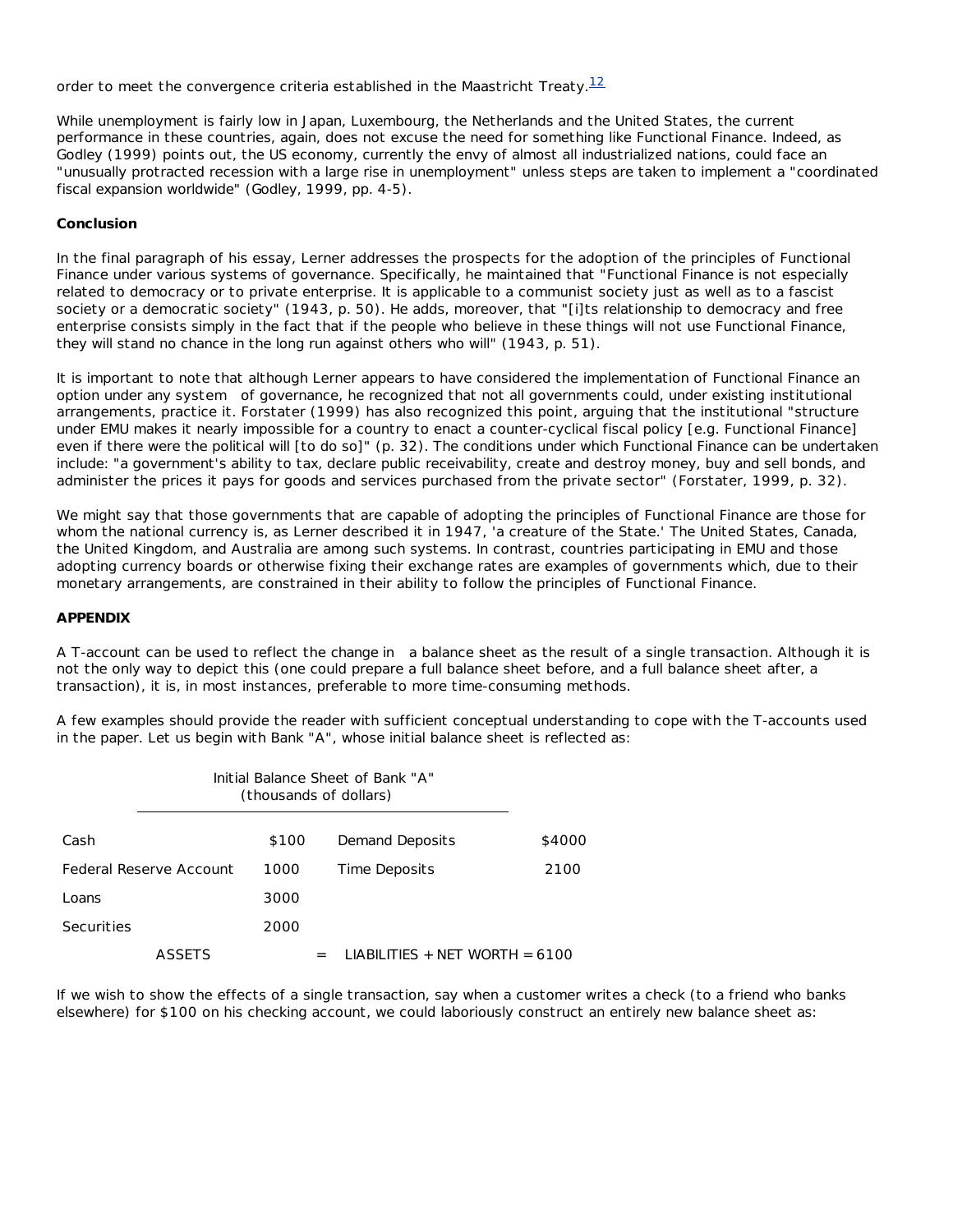order to meet the convergence criteria established in the Maastricht Treaty.<sup>12</sup>

While unemployment is fairly low in Japan, Luxembourg, the Netherlands and the United States, the current performance in these countries, again, does not excuse the need for something like Functional Finance. Indeed, as Godley (1999) points out, the US economy, currently the envy of almost all industrialized nations, could face an "unusually protracted recession with a large rise in unemployment" unless steps are taken to implement a "coordinated fiscal expansion worldwide" (Godley, 1999, pp. 4-5).

#### **Conclusion**

In the final paragraph of his essay, Lerner addresses the prospects for the adoption of the principles of Functional Finance under various systems of governance. Specifically, he maintained that "Functional Finance is not especially related to democracy or to private enterprise. It is applicable to a communist society just as well as to a fascist society or a democratic society" (1943, p. 50). He adds, moreover, that "[i]ts relationship to democracy and free enterprise consists simply in the fact that if the people who believe in these things will not use Functional Finance, they will stand no chance in the long run against others who will" (1943, p. 51).

It is important to note that although Lerner appears to have considered the implementation of Functional Finance an option under any *system* of governance, he recognized that not all governments could, under existing *institutional* arrangements, practice it. Forstater (1999) has also recognized this point, arguing that the institutional "structure under EMU makes it nearly impossible for a country to enact a counter-cyclical fiscal policy [e.g. Functional Finance] even if there were the political will [to do so]" (p. 32). The conditions under which Functional Finance can be undertaken include: "a government's ability to tax, declare public receivability, create and destroy money, buy and sell bonds, and administer the prices it pays for goods and services purchased from the private sector" (Forstater, 1999, p. 32).

We might say that those governments that are capable of adopting the principles of Functional Finance are those for whom the national currency is, as Lerner described it in 1947, 'a creature of the State.' The United States, Canada, the United Kingdom, and Australia are among such systems. In contrast, countries participating in EMU and those adopting currency boards or otherwise fixing their exchange rates are examples of governments which, due to their monetary arrangements, are constrained in their ability to follow the principles of Functional Finance.

### **APPENDIX**

A T-account can be used to reflect the *change in* a balance sheet as the result of a single transaction. Although it is not the only way to depict this (one could prepare a full balance sheet before, and a full balance sheet after, a transaction), it is, in most instances, preferable to more time-consuming methods.

A few examples should provide the reader with sufficient conceptual understanding to cope with the T-accounts used in the paper. Let us begin with Bank "A", whose initial balance sheet is reflected as:

|            |                         |       | Initial Balance Sheet of Bank "A"<br>(thousands of dollars) |        |
|------------|-------------------------|-------|-------------------------------------------------------------|--------|
| Cash       |                         | \$100 | Demand Deposits                                             | \$4000 |
|            | Federal Reserve Account | 1000  | Time Deposits                                               | 2100   |
| Loans      |                         | 3000  |                                                             |        |
| Securities |                         | 2000  |                                                             |        |
|            | <b>ASSETS</b>           |       | LIABILITIES + NET WORTH = $6100$<br>$=$                     |        |

If we wish to show the effects of a single transaction, say when a customer writes a check (to a friend who banks elsewhere) for \$100 on his checking account, we could laboriously construct an entirely new balance sheet as: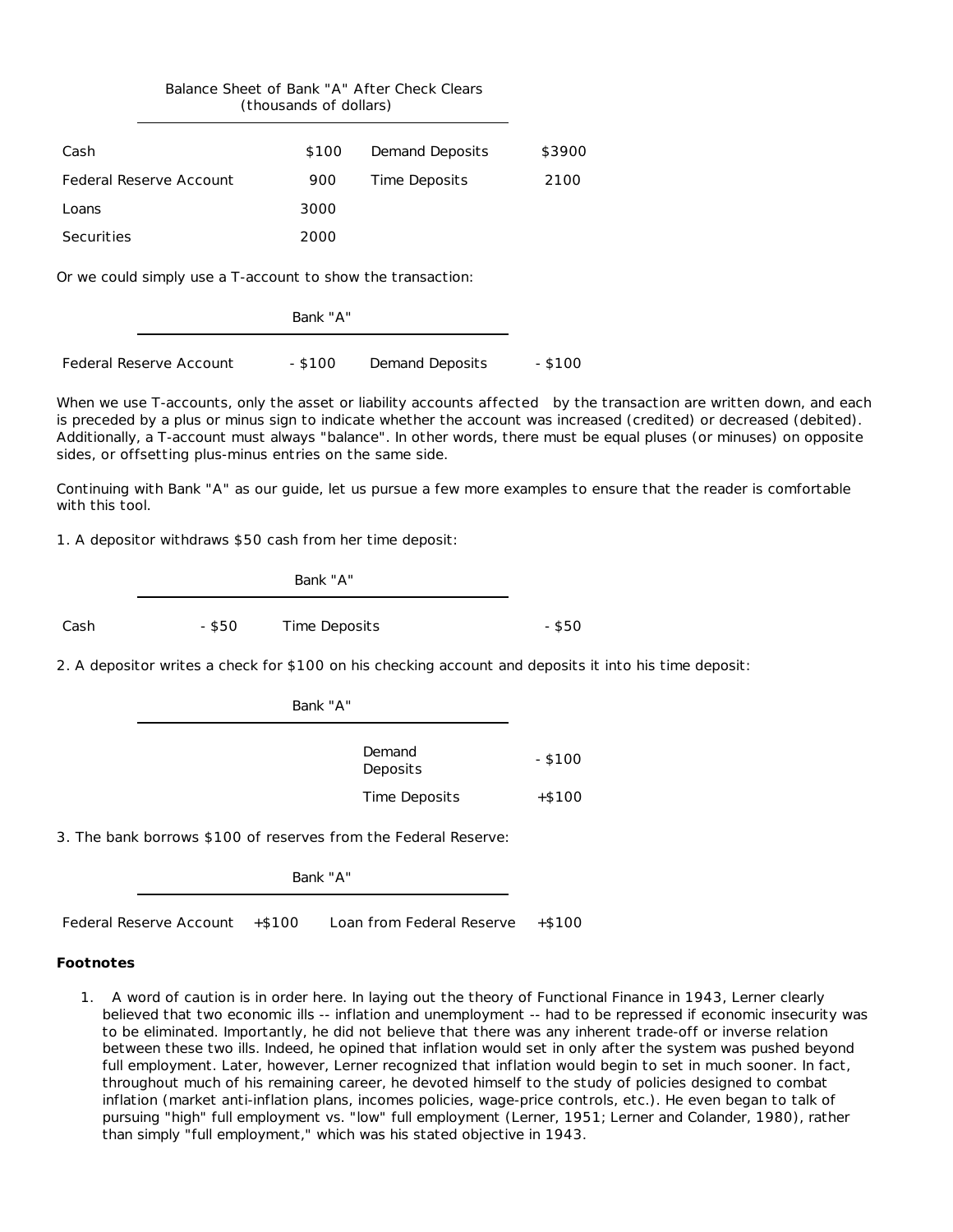|                                                             | (thousands of dollars) | Balance Sheet of Bank "A" After Check Clears |         |
|-------------------------------------------------------------|------------------------|----------------------------------------------|---------|
| Cash                                                        | \$100                  | Demand Deposits                              | \$3900  |
| Federal Reserve Account                                     | 900                    | <b>Time Deposits</b>                         | 2100    |
| Loans                                                       | 3000                   |                                              |         |
| Securities                                                  | 2000                   |                                              |         |
| Or we could simply use a T-account to show the transaction: |                        |                                              |         |
|                                                             | Bank "A"               |                                              |         |
| <b>Federal Reserve Account</b>                              | $-$ \$100              | Demand Deposits                              | - \$100 |

When we use T-accounts, only the asset or liability accounts *affected* by the transaction are written down, and each is preceded by a plus or minus sign to indicate whether the account was increased (credited) or decreased (debited). Additionally, a T-account must always "balance". In other words, there must be equal pluses (or minuses) on opposite sides, or offsetting plus-minus entries on the same side.

Continuing with Bank "A" as our guide, let us pursue a few more examples to ensure that the reader is comfortable with this tool.

1. A depositor withdraws \$50 cash from her time deposit:

|      |        | Bank "A"      |          |
|------|--------|---------------|----------|
| Cash | - \$50 | Time Deposits | $-$ \$50 |

2. A depositor writes a check for \$100 on his checking account and deposits it into his time deposit:

| Bank "A"           |           |
|--------------------|-----------|
| Demand<br>Deposits | $-$ \$100 |
| Time Deposits      | $+ $100$  |

3. The bank borrows \$100 of reserves from the Federal Reserve:

Bank "A"

Federal Reserve Account +\$100 Loan from Federal Reserve +\$100

### **Footnotes**

1. A word of caution is in order here. In laying out the theory of Functional Finance in 1943, Lerner clearly believed that two economic ills -- inflation and unemployment -- had to be repressed if economic insecurity was to be eliminated. Importantly, he did not believe that there was any inherent trade-off or inverse relation between these two ills. Indeed, he opined that inflation would set in only after the system was pushed beyond full employment. Later, however, Lerner recognized that inflation would begin to set in much sooner. In fact, throughout much of his remaining career, he devoted himself to the study of policies designed to combat inflation (market anti-inflation plans, incomes policies, wage-price controls, etc.). He even began to talk of pursuing "high" full employment vs. "low" full employment (Lerner, 1951; Lerner and Colander, 1980), rather than simply "full employment," which was his stated objective in 1943.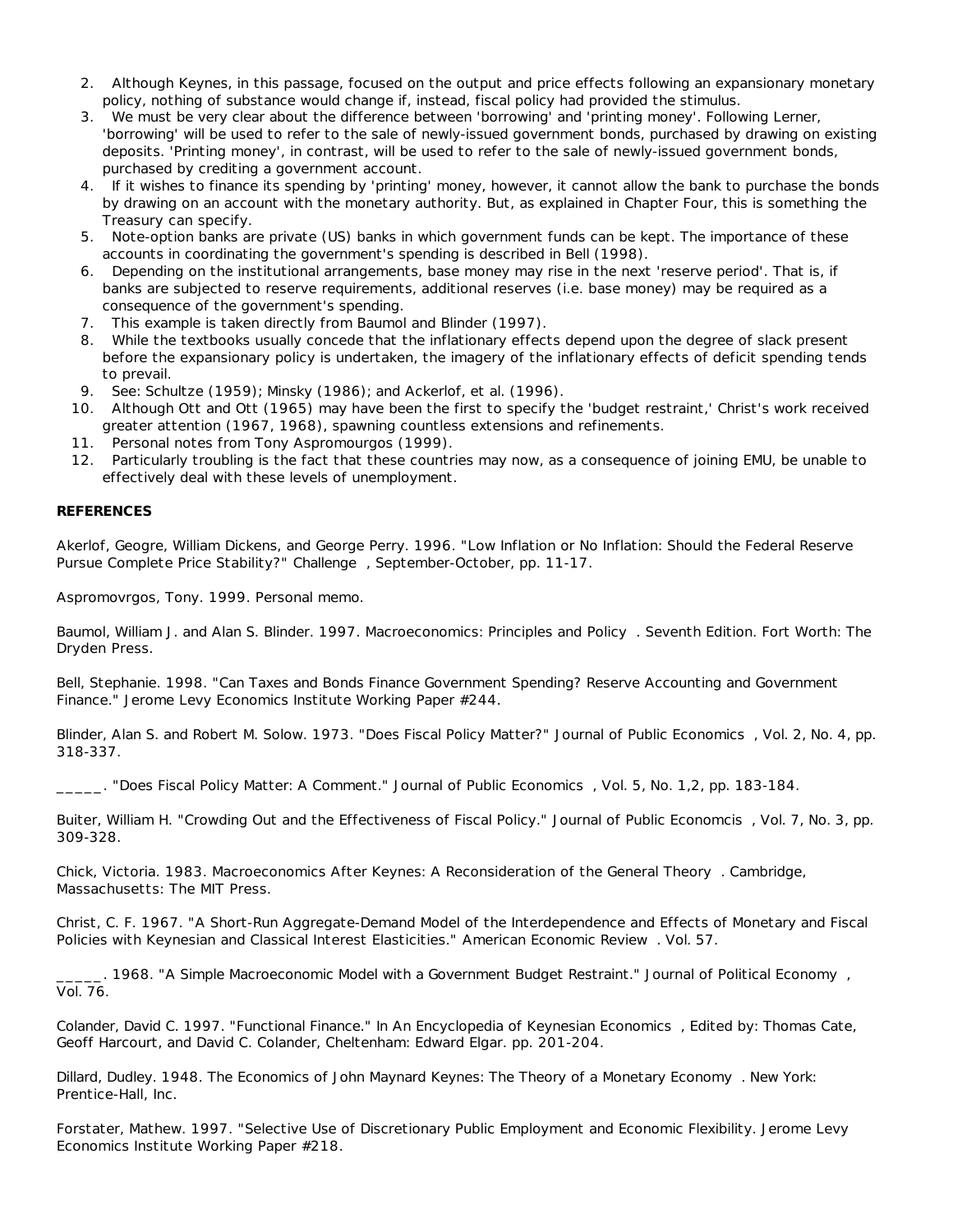- 2. Although Keynes, in this passage, focused on the output and price effects following an expansionary monetary policy, nothing of substance would change if, instead, fiscal policy had provided the stimulus.
- 3. We must be very clear about the difference between 'borrowing' and 'printing money'. Following Lerner, 'borrowing' will be used to refer to the sale of newly-issued government bonds, purchased by drawing on existing deposits. 'Printing money', in contrast, will be used to refer to the sale of newly-issued government bonds, purchased by crediting a government account.
- 4. If it wishes to finance its spending by 'printing' money, however, it cannot allow the bank to purchase the bonds by drawing on an account with the monetary authority. But, as explained in Chapter Four, this is something the Treasury can specify.
- 5. Note-option banks are private (US) banks in which government funds can be kept. The importance of these accounts in coordinating the government's spending is described in Bell (1998).
- 6. Depending on the institutional arrangements, base money may rise in the next 'reserve period'. That is, if banks are subjected to reserve requirements, additional reserves (i.e. base money) may be required as a consequence of the government's spending.
- 7. This example is taken directly from Baumol and Blinder (1997).
- 8. While the textbooks usually concede that the inflationary effects depend upon the degree of slack present before the expansionary policy is undertaken, the imagery of the inflationary effects of deficit spending tends to prevail.
- 9. See: Schultze (1959); Minsky (1986); and Ackerlof, et al. (1996).
- 10. Although Ott and Ott (1965) may have been the first to specify the 'budget restraint,' Christ's work received greater attention (1967, 1968), spawning countless extensions and refinements.
- 11. Personal notes from Tony Aspromourgos (1999).
- 12. Particularly troubling is the fact that these countries may now, as a consequence of joining EMU, be unable to effectively deal with these levels of unemployment.

### **REFERENCES**

Akerlof, Geogre, William Dickens, and George Perry. 1996. "Low Inflation or No Inflation: Should the Federal Reserve Pursue Complete Price Stability?" *Challenge* , September-October, pp. 11-17.

Aspromovrgos, Tony. 1999. Personal memo.

Baumol, William J. and Alan S. Blinder. 1997. *Macroeconomics: Principles and Policy* . Seventh Edition. Fort Worth: The Dryden Press.

Bell, Stephanie. 1998. "Can Taxes and Bonds Finance Government Spending? Reserve Accounting and Government Finance." Jerome Levy Economics Institute Working Paper #244.

Blinder, Alan S. and Robert M. Solow. 1973. "Does Fiscal Policy Matter?" *Journal of Public Economics* , Vol. 2, No. 4, pp. 318-337.

\_\_\_\_\_. "Does Fiscal Policy Matter: A Comment." *Journal of Public Economics* , Vol. 5, No. 1,2, pp. 183-184.

Buiter, William H. "Crowding Out and the Effectiveness of Fiscal Policy." *Journal of Public Economcis* , Vol. 7, No. 3, pp. 309-328.

Chick, Victoria. 1983. *Macroeconomics After Keynes: A Reconsideration of the General Theory* . Cambridge, Massachusetts: The MIT Press.

Christ, C. F. 1967. "A Short-Run Aggregate-Demand Model of the Interdependence and Effects of Monetary and Fiscal Policies with Keynesian and Classical Interest Elasticities." *American Economic Review* . Vol. 57.

\_\_\_\_\_. 1968. "A Simple Macroeconomic Model with a Government Budget Restraint." *Journal of Political Economy* , Vol. 76.

Colander, David C. 1997. "Functional Finance." In *An Encyclopedia of Keynesian Economics* , Edited by: Thomas Cate, Geoff Harcourt, and David C. Colander, Cheltenham: Edward Elgar. pp. 201-204.

Dillard, Dudley. 1948. *The Economics of John Maynard Keynes: The Theory of a Monetary Economy* . New York: Prentice-Hall, Inc.

Forstater, Mathew. 1997. "Selective Use of Discretionary Public Employment and Economic Flexibility. Jerome Levy Economics Institute Working Paper #218.